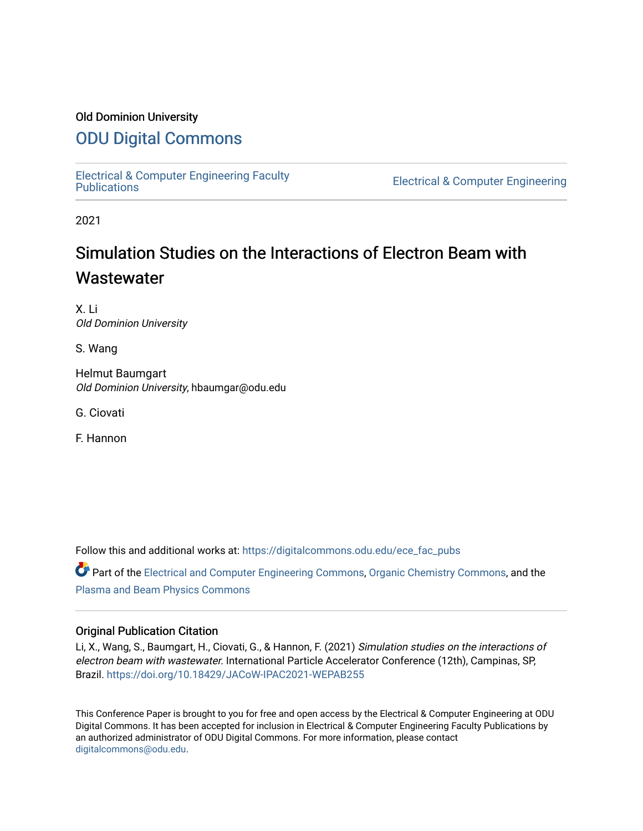## Old Dominion University

## [ODU Digital Commons](https://digitalcommons.odu.edu/)

[Electrical & Computer Engineering Faculty](https://digitalcommons.odu.edu/ece_fac_pubs) 

**Electrical & Computer Engineering** 

2021

# Simulation Studies on the Interactions of Electron Beam with **Wastewater**

X. Li Old Dominion University

S. Wang

Helmut Baumgart Old Dominion University, hbaumgar@odu.edu

G. Ciovati

F. Hannon

Follow this and additional works at: [https://digitalcommons.odu.edu/ece\\_fac\\_pubs](https://digitalcommons.odu.edu/ece_fac_pubs?utm_source=digitalcommons.odu.edu%2Fece_fac_pubs%2F312&utm_medium=PDF&utm_campaign=PDFCoverPages) 

Part of the [Electrical and Computer Engineering Commons](http://network.bepress.com/hgg/discipline/266?utm_source=digitalcommons.odu.edu%2Fece_fac_pubs%2F312&utm_medium=PDF&utm_campaign=PDFCoverPages), [Organic Chemistry Commons](http://network.bepress.com/hgg/discipline/138?utm_source=digitalcommons.odu.edu%2Fece_fac_pubs%2F312&utm_medium=PDF&utm_campaign=PDFCoverPages), and the [Plasma and Beam Physics Commons](http://network.bepress.com/hgg/discipline/205?utm_source=digitalcommons.odu.edu%2Fece_fac_pubs%2F312&utm_medium=PDF&utm_campaign=PDFCoverPages)

### Original Publication Citation

Li, X., Wang, S., Baumgart, H., Ciovati, G., & Hannon, F. (2021) Simulation studies on the interactions of electron beam with wastewater. International Particle Accelerator Conference (12th), Campinas, SP, Brazil. <https://doi.org/10.18429/JACoW-IPAC2021-WEPAB255>

This Conference Paper is brought to you for free and open access by the Electrical & Computer Engineering at ODU Digital Commons. It has been accepted for inclusion in Electrical & Computer Engineering Faculty Publications by an authorized administrator of ODU Digital Commons. For more information, please contact [digitalcommons@odu.edu](mailto:digitalcommons@odu.edu).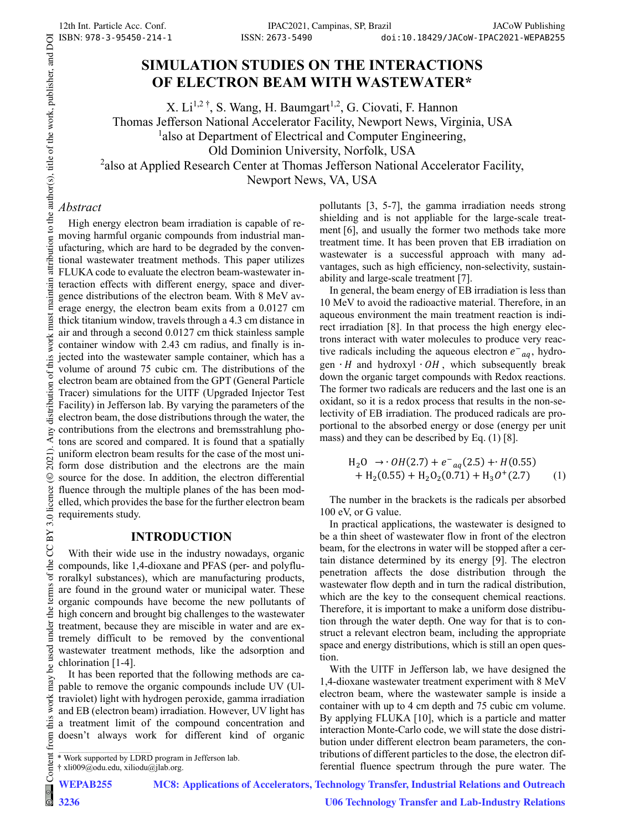## **SIMULATION STUDIES ON THE INTERACTIONS OF ELECTRON BEAM WITH WASTEWATER\***

X. Li<sup>1,2†</sup>, S. Wang, H. Baumgart<sup>1,2</sup>, G. Ciovati, F. Hannon

Thomas Jefferson National Accelerator Facility, Newport News, Virginia, USA

<sup>1</sup>also at Department of Electrical and Computer Engineering,

Old Dominion University, Norfolk, USA

<sup>2</sup>also at Applied Research Center at Thomas Jefferson National Accelerator Facility,

Newport News, VA, USA

#### *Abstract*

attribution to the author(s), title of the work, publisher, and DOI

maintain

must work 1

of this

distribution

Any (

2021).  $\odot$ 

3.0 licence

**CCBY** 

of the C

terms the under 1

used <u>ل</u>ى may work this from (

High energy electron beam irradiation is capable of removing harmful organic compounds from industrial manufacturing, which are hard to be degraded by the conventional wastewater treatment methods. This paper utilizes FLUKA code to evaluate the electron beam-wastewater interaction effects with different energy, space and divergence distributions of the electron beam. With 8 MeV average energy, the electron beam exits from a 0.0127 cm thick titanium window, travels through a 4.3 cm distance in air and through a second 0.0127 cm thick stainless sample container window with 2.43 cm radius, and finally is injected into the wastewater sample container, which has a volume of around 75 cubic cm. The distributions of the electron beam are obtained from the GPT (General Particle Tracer) simulations for the UITF (Upgraded Injector Test Facility) in Jefferson lab. By varying the parameters of the electron beam, the dose distributions through the water, the contributions from the electrons and bremsstrahlung photons are scored and compared. It is found that a spatially uniform electron beam results for the case of the most uniform dose distribution and the electrons are the main source for the dose. In addition, the electron differential fluence through the multiple planes of the has been modelled, which provides the base for the further electron beam requirements study.

#### **INTRODUCTION**

With their wide use in the industry nowadays, organic compounds, like 1,4-dioxane and PFAS (per- and polyfluroralkyl substances), which are manufacturing products, are found in the ground water or municipal water. These organic compounds have become the new pollutants of high concern and brought big challenges to the wastewater treatment, because they are miscible in water and are extremely difficult to be removed by the conventional wastewater treatment methods, like the adsorption and chlorination [1-4].

It has been reported that the following methods are capable to remove the organic compounds include UV (Ultraviolet) light with hydrogen peroxide, gamma irradiation and EB (electron beam) irradiation. However, UV light has a treatment limit of the compound concentration and doesn't always work for different kind of organic Content from this work may be used under the terms of the CC BY 3.0 licence (© 2021). Any distribution of this work must maintain attribution to the author(s), title of the work, publisher, and DOI

\* Work supported by LDRD program in Jefferson lab.

† xli009@odu.edu, xiliodu@jlab.org.

pollutants [3, 5-7], the gamma irradiation needs strong shielding and is not appliable for the large-scale treatment [6], and usually the former two methods take more treatment time. It has been proven that EB irradiation on wastewater is a successful approach with many advantages, such as high efficiency, non-selectivity, sustainability and large-scale treatment [7].

In general, the beam energy of EB irradiation is less than 10 MeV to avoid the radioactive material. Therefore, in an aqueous environment the main treatment reaction is indirect irradiation [8]. In that process the high energy electrons interact with water molecules to produce very reactive radicals including the aqueous electron  $e^-_{aq}$ , hydrogen  $·$  *H* and hydroxyl  $·$  *OH*, which subsequently break down the organic target compounds with Redox reactions. The former two radicals are reducers and the last one is an oxidant, so it is a redox process that results in the non-selectivity of EB irradiation. The produced radicals are proportional to the absorbed energy or dose (energy per unit mass) and they can be described by Eq. (1) [8].

$$
H_2O \rightarrow \cdot OH(2.7) + e^-_{aq}(2.5) + H(0.55)
$$
  
+ H<sub>2</sub>(0.55) + H<sub>2</sub>O<sub>2</sub>(0.71) + H<sub>3</sub>O<sup>+</sup>(2.7) (1)

The number in the brackets is the radicals per absorbed 100 eV, or G value.

In practical applications, the wastewater is designed to be a thin sheet of wastewater flow in front of the electron beam, for the electrons in water will be stopped after a certain distance determined by its energy [9]. The electron penetration affects the dose distribution through the wastewater flow depth and in turn the radical distribution, which are the key to the consequent chemical reactions. Therefore, it is important to make a uniform dose distribution through the water depth. One way for that is to construct a relevant electron beam, including the appropriate space and energy distributions, which is still an open question.

With the UITF in Jefferson lab, we have designed the 1,4-dioxane wastewater treatment experiment with 8 MeV electron beam, where the wastewater sample is inside a container with up to 4 cm depth and 75 cubic cm volume. By applying FLUKA [10], which is a particle and matter interaction Monte-Carlo code, we will state the dose distribution under different electron beam parameters, the contributions of different particles to the dose, the electron differential fluence spectrum through the pure water. The

MC8: Applications of Accelerators, Technology Transfer, Industrial Relations and Outreach

 $\circledast$ 

U06 Technology Transfer and Lab-Industry Relations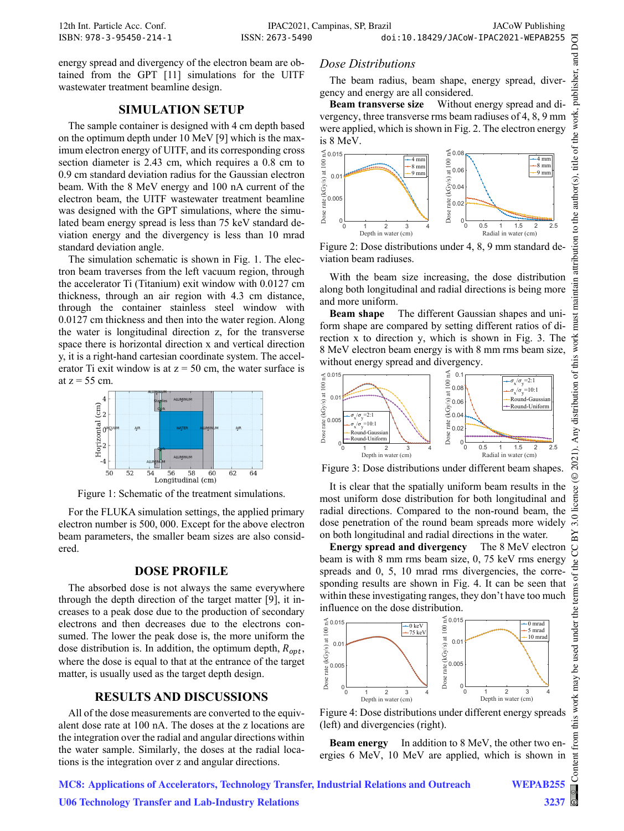| 12th Int. Particle Acc. Conf. | IPAC2021, Campinas, SP, Brazil | <b>JACoW</b> Publishing              |  |
|-------------------------------|--------------------------------|--------------------------------------|--|
| ISBN: 978-3-95450-214-1       | ISSN: 2673-5490                | doi:10.18429/JACoW-IPAC2021-WEPAB255 |  |

energy spread and divergency of the electron beam are obtained from the GPT [11] simulations for the UITF wastewater treatment beamline design.

#### **SIMULATION SETUP**

The sample container is designed with 4 cm depth based on the optimum depth under 10 MeV [9] which is the maximum electron energy of UITF, and its corresponding cross section diameter is 2.43 cm, which requires a 0.8 cm to 0.9 cm standard deviation radius for the Gaussian electron beam. With the 8 MeV energy and 100 nA current of the electron beam, the UITF wastewater treatment beamline was designed with the GPT simulations, where the simulated beam energy spread is less than 75 keV standard deviation energy and the divergency is less than 10 mrad standard deviation angle.

The simulation schematic is shown in Fig. 1. The electron beam traverses from the left vacuum region, through the accelerator Ti (Titanium) exit window with 0.0127 cm thickness, through an air region with 4.3 cm distance, through the container stainless steel window with 0.0127 cm thickness and then into the water region. Along the water is longitudinal direction z, for the transverse space there is horizontal direction x and vertical direction y, it is a right-hand cartesian coordinate system. The accelerator Ti exit window is at  $z = 50$  cm, the water surface is at  $z = 55$  cm.



Figure 1: Schematic of the treatment simulations.

For the FLUKA simulation settings, the applied primary electron number is 500, 000. Except for the above electron beam parameters, the smaller beam sizes are also considered.

#### **DOSE PROFILE**

The absorbed dose is not always the same everywhere through the depth direction of the target matter [9], it increases to a peak dose due to the production of secondary electrons and then decreases due to the electrons consumed. The lower the peak dose is, the more uniform the dose distribution is. In addition, the optimum depth,  $R_{opt}$ , where the dose is equal to that at the entrance of the target matter, is usually used as the target depth design.

#### **RESULTS AND DISCUSSIONS**

All of the dose measurements are converted to the equivalent dose rate at 100 nA. The doses at the z locations are the integration over the radial and angular directions within the water sample. Similarly, the doses at the radial locations is the integration over z and angular directions.

#### *Dose Distributions*

The beam radius, beam shape, energy spread, divergency and energy are all considered.

**Beam transverse size** Without energy spread and divergency, three transverse rms beam radiuses of 4, 8, 9 mm were applied, which is shown in Fig. 2. The electron energy is 8 MeV.



Figure 2: Dose distributions under 4, 8, 9 mm standard deviation beam radiuses.

With the beam size increasing, the dose distribution along both longitudinal and radial directions is being more and more uniform.

**Beam shape** The different Gaussian shapes and uniform shape are compared by setting different ratios of direction x to direction y, which is shown in Fig. 3. The 8 MeV electron beam energy is with 8 mm rms beam size, without energy spread and divergency.



Figure 3: Dose distributions under different beam shapes.

It is clear that the spatially uniform beam results in the most uniform dose distribution for both longitudinal and radial directions. Compared to the non-round beam, the dose penetration of the round beam spreads more widely on both longitudinal and radial directions in the water.

**Energy spread and divergency** The 8 MeV electron beam is with 8 mm rms beam size, 0, 75 keV rms energy spreads and 0, 5, 10 mrad rms divergencies, the corresponding results are shown in Fig. 4. It can be seen that within these investigating ranges, they don't have too much influence on the dose distribution.





**Beam energy** In addition to 8 MeV, the other two energies 6 MeV, 10 MeV are applied, which is shown in

MC8: Applications of Accelerators, Technology Transfer, Industrial Relations and Outreach

Content from this work may be used under the terms of the CC BY 3.0 licence (© 2021). Any distribution of this work must maintain attribution to the author(s), title of the work, publisher, and DOI

( $@$  2021). Any distribution of this work

licence  $3.0$  $_{\rm BY}$ g фe

terms of

this work may be used under the

from

 $Cont$ 

publisher, and DOI

ntain attribution to the author(s), title of the work,

mai must: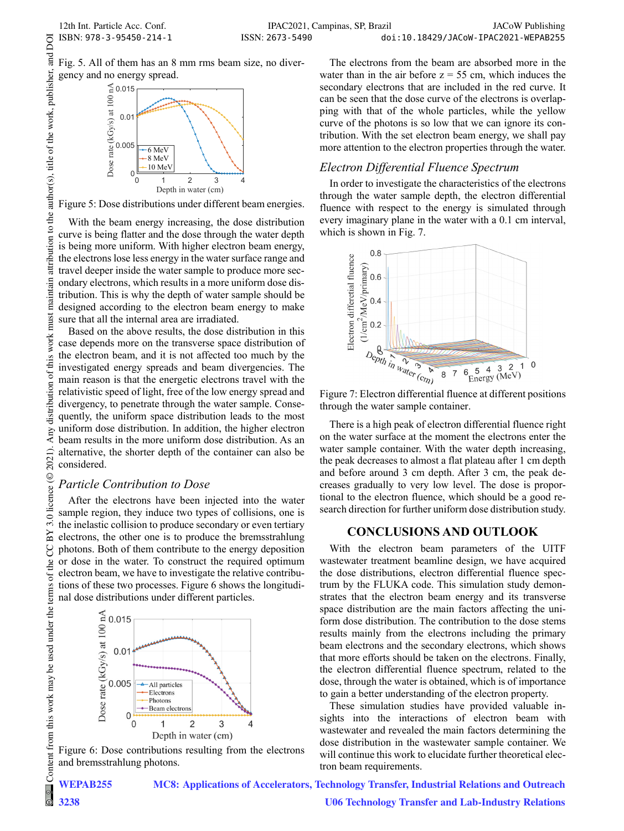Fig. 5. All of them has an 8 mm rms beam size, no divergency and no energy spread.



Figure 5: Dose distributions under different beam energies.

With the beam energy increasing, the dose distribution curve is being flatter and the dose through the water depth is being more uniform. With higher electron beam energy, the electrons lose less energy in the water surface range and travel deeper inside the water sample to produce more secondary electrons, which results in a more uniform dose distribution. This is why the depth of water sample should be designed according to the electron beam energy to make sure that all the internal area are irradiated.

Based on the above results, the dose distribution in this case depends more on the transverse space distribution of the electron beam, and it is not affected too much by the investigated energy spreads and beam divergencies. The main reason is that the energetic electrons travel with the relativistic speed of light, free of the low energy spread and divergency, to penetrate through the water sample. Consequently, the uniform space distribution leads to the most uniform dose distribution. In addition, the higher electron beam results in the more uniform dose distribution. As an alternative, the shorter depth of the container can also be considered.

#### *Particle Contribution to Dose*

After the electrons have been injected into the water sample region, they induce two types of collisions, one is the inelastic collision to produce secondary or even tertiary electrons, the other one is to produce the bremsstrahlung photons. Both of them contribute to the energy deposition or dose in the water. To construct the required optimum electron beam, we have to investigate the relative contributions of these two processes. Figure 6 shows the longitudinal dose distributions under different particles.



Figure 6: Dose contributions resulting from the electrons and bremsstrahlung photons.

The electrons from the beam are absorbed more in the water than in the air before  $z = 55$  cm, which induces the secondary electrons that are included in the red curve. It can be seen that the dose curve of the electrons is overlapping with that of the whole particles, while the yellow curve of the photons is so low that we can ignore its contribution. With the set electron beam energy, we shall pay more attention to the electron properties through the water.

#### *Electron Differential Fluence Spectrum*

In order to investigate the characteristics of the electrons through the water sample depth, the electron differential fluence with respect to the energy is simulated through every imaginary plane in the water with a 0.1 cm interval, which is shown in Fig. 7.



Figure 7: Electron differential fluence at different positions through the water sample container.

There is a high peak of electron differential fluence right on the water surface at the moment the electrons enter the water sample container. With the water depth increasing, the peak decreases to almost a flat plateau after 1 cm depth and before around 3 cm depth. After 3 cm, the peak decreases gradually to very low level. The dose is proportional to the electron fluence, which should be a good research direction for further uniform dose distribution study.

#### **CONCLUSIONS AND OUTLOOK**

With the electron beam parameters of the UITF wastewater treatment beamline design, we have acquired the dose distributions, electron differential fluence spectrum by the FLUKA code. This simulation study demonstrates that the electron beam energy and its transverse space distribution are the main factors affecting the uniform dose distribution. The contribution to the dose stems results mainly from the electrons including the primary beam electrons and the secondary electrons, which shows that more efforts should be taken on the electrons. Finally, the electron differential fluence spectrum, related to the dose, through the water is obtained, which is of importance to gain a better understanding of the electron property.

These simulation studies have provided valuable insights into the interactions of electron beam with wastewater and revealed the main factors determining the dose distribution in the wastewater sample container. We will continue this work to elucidate further theoretical electron beam requirements.

MC8: Applications of Accelerators, Technology Transfer, Industrial Relations and Outreach